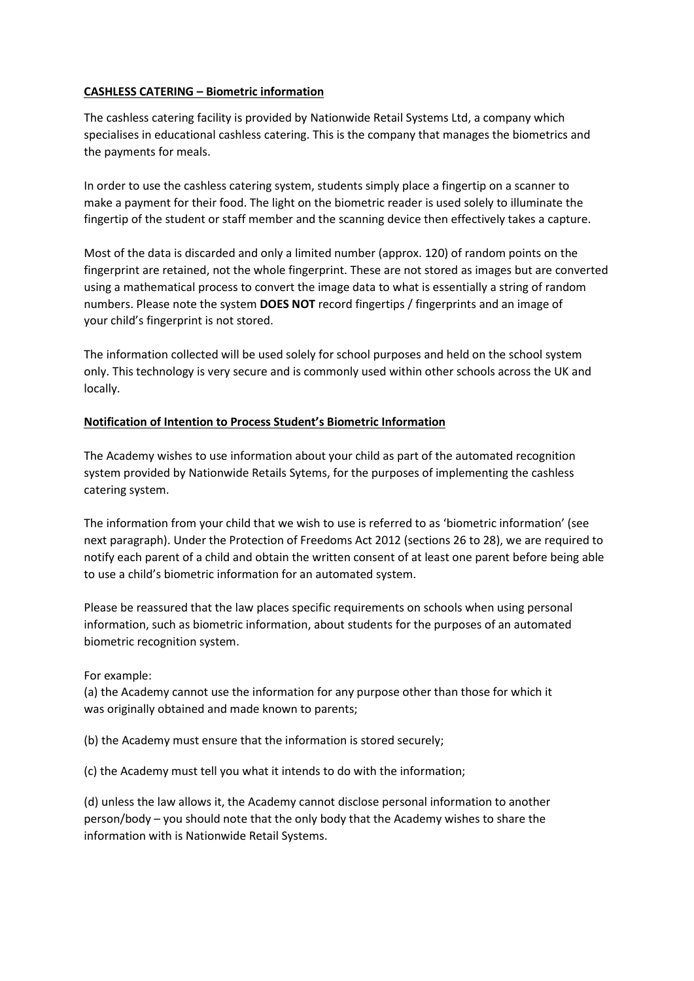## **CASHLESS CATERING – Biometric information**

The cashless catering facility is provided by Nationwide Retail Systems Ltd, a company which specialises in educational cashless catering. This is the company that manages the biometrics and the payments for meals.

In order to use the cashless catering system, students simply place a fingertip on a scanner to make a payment for their food. The light on the biometric reader is used solely to illuminate the fingertip of the student or staff member and the scanning device then effectively takes a capture.

Most of the data is discarded and only a limited number (approx. 120) of random points on the fingerprint are retained, not the whole fingerprint. These are not stored as images but are converted using a mathematical process to convert the image data to what is essentially a string of random numbers. Please note the system **DOES NOT** record fingertips / fingerprints and an image of your child's fingerprint is not stored.

The information collected will be used solely for school purposes and held on the school system only. This technology is very secure and is commonly used within other schools across the UK and locally.

## **Notification of Intention to Process Student's Biometric Information**

The Academy wishes to use information about your child as part of the automated recognition system provided by Nationwide Retails Sytems, for the purposes of implementing the cashless catering system.

The information from your child that we wish to use is referred to as 'biometric information' (see next paragraph). Under the Protection of Freedoms Act 2012 (sections 26 to 28), we are required to notify each parent of a child and obtain the written consent of at least one parent before being able to use a child's biometric information for an automated system.

Please be reassured that the law places specific requirements on schools when using personal information, such as biometric information, about students for the purposes of an automated biometric recognition system.

## For example:

(a) the Academy cannot use the information for any purpose other than those for which it was originally obtained and made known to parents;

(b) the Academy must ensure that the information is stored securely;

(c) the Academy must tell you what it intends to do with the information;

(d) unless the law allows it, the Academy cannot disclose personal information to another person/body – you should note that the only body that the Academy wishes to share the information with is Nationwide Retail Systems.